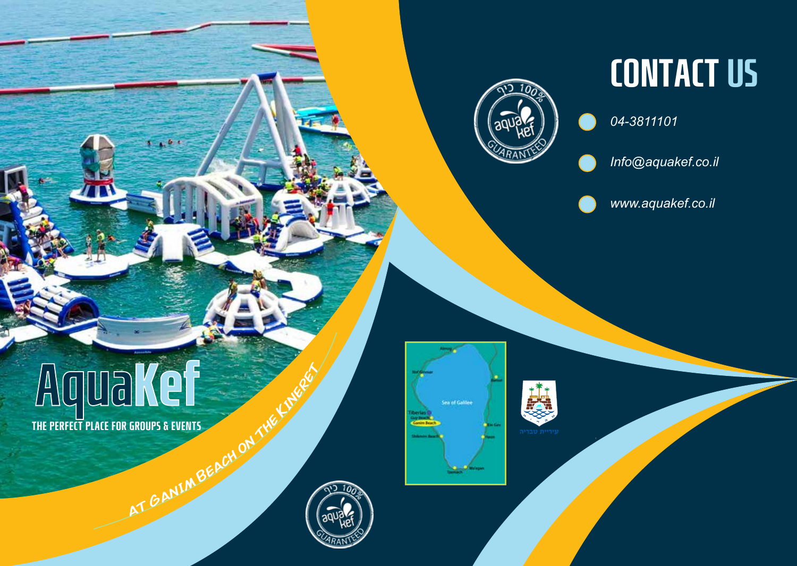

**Sea of Galilee** 

# CONTACT US

*04-3811101*

*Info@aquakef.co.il*

*www.aquakef.co.il*

THE PERFECT PLACE FOR GROUPS & EVENTS **<sup>a</sup><sup>t</sup> <sup>G</sup>ani<sup>m</sup> <sup>B</sup>eac<sup>h</sup> <sup>o</sup><sup>n</sup> <sup>t</sup>h<sup>e</sup> <sup>K</sup>inere<sup>t</sup>**

 $1 + 5 +$ 

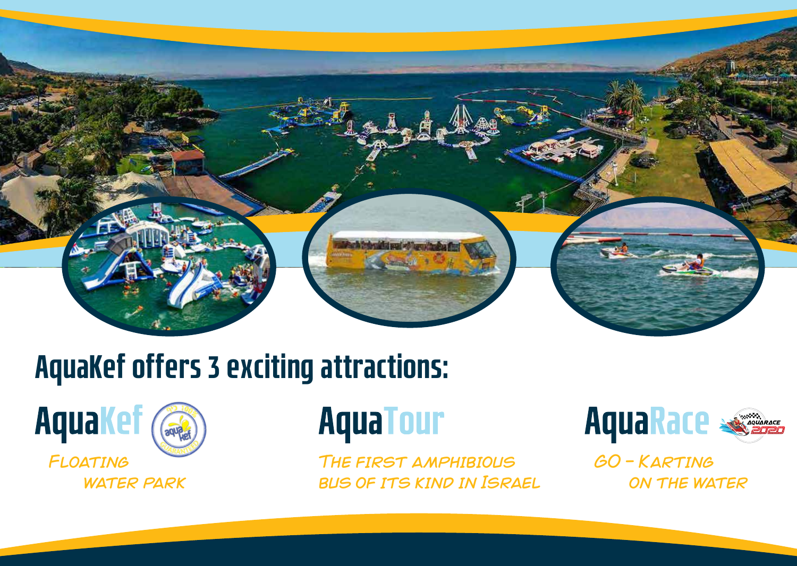

## AquaKef offers 3 exciting attractions:



# **AquaTour**

The first amphibious bus of its kind in Israel



GO - Karting on the water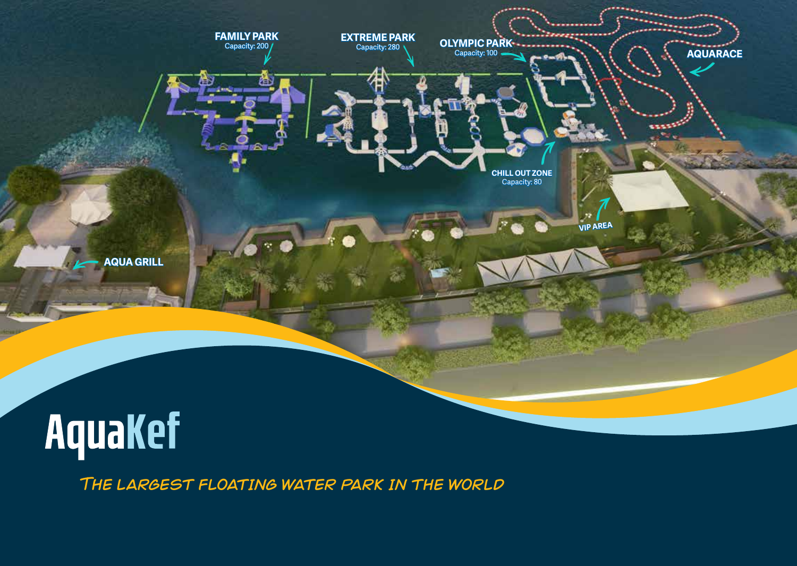

The largest floating water park in the world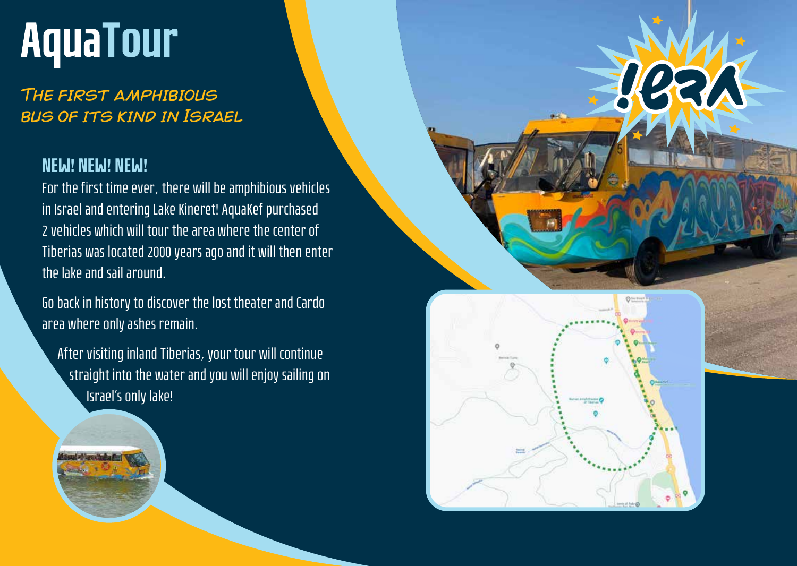# **AquaTour**

#### The first amphibious bus of its kind in Israel

#### NEW! NEW! NEW!

For the first time ever, there will be amphibious vehicles in Israel and entering Lake Kineret! AquaKef purchased 2 vehicles which will tour the area where the center of Tiberias was located 2000 years ago and it will then enter the lake and sail around.

Go back in history to discover the lost theater and Cardo area where only ashes remain.

 After visiting inland Tiberias, your tour will continue straight into the water and you will enjoy sailing on Israel's only lake!



חדש!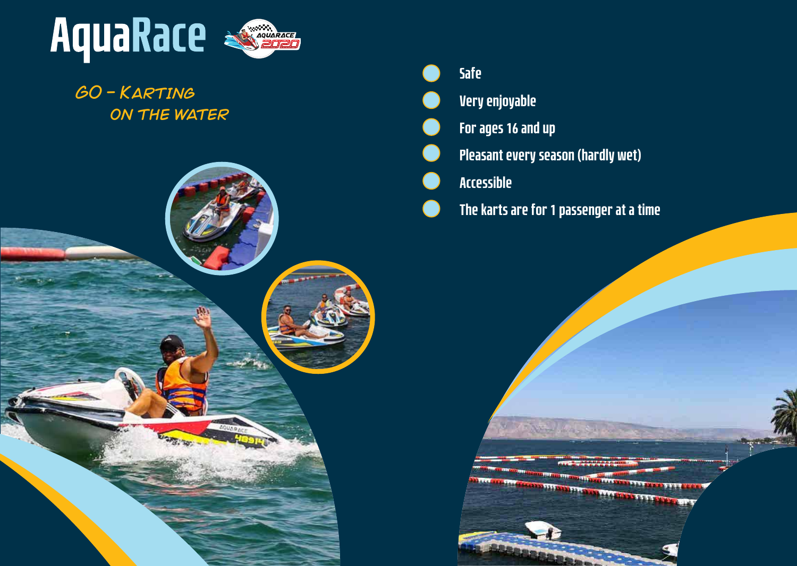

### GO - Karting ON THE WATER



| <b>Safe</b>                               |
|-------------------------------------------|
| <b>Very enjoyable</b>                     |
| For ages 16 and up                        |
| <b>Pleasant every season (hardly wet)</b> |
| <b>Accessible</b>                         |
| The karts are for 1 passenger at a time   |

**YOON HOUSE** 

**ALCOHOLOGICA**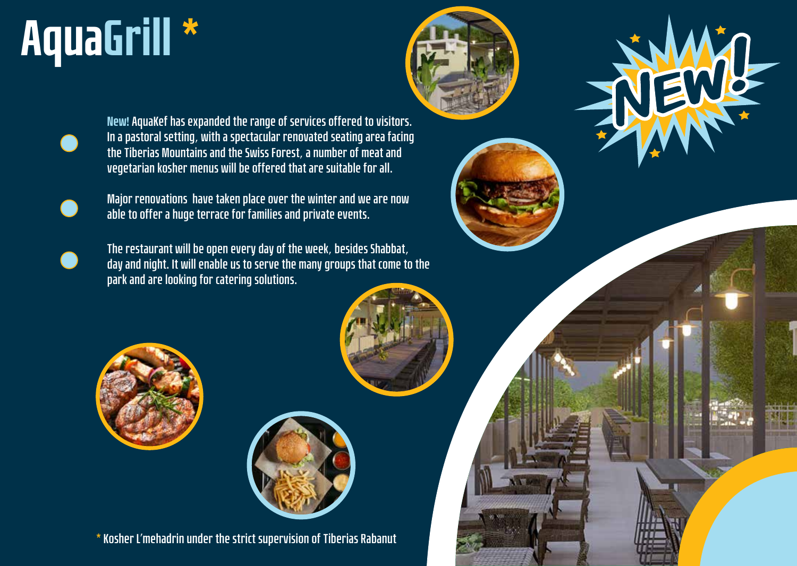# AquaGrill \*





New! **AquaKef has expanded the range of services offered to visitors. In a pastoral setting, with a spectacular renovated seating area facing the Tiberias Mountains and the Swiss Forest, a number of meat and vegetarian kosher menus will be offered that are suitable for all.**



**Major renovations have taken place over the winter and we are now able to offer a huge terrace for families and private events.**



**The restaurant will be open every day of the week, besides Shabbat, day and night. It will enable us to serve the many groups that come to the park and are looking for catering solutions.** 





**\* Kosher L'mehadrin under the strict supervision of Tiberias Rabanut**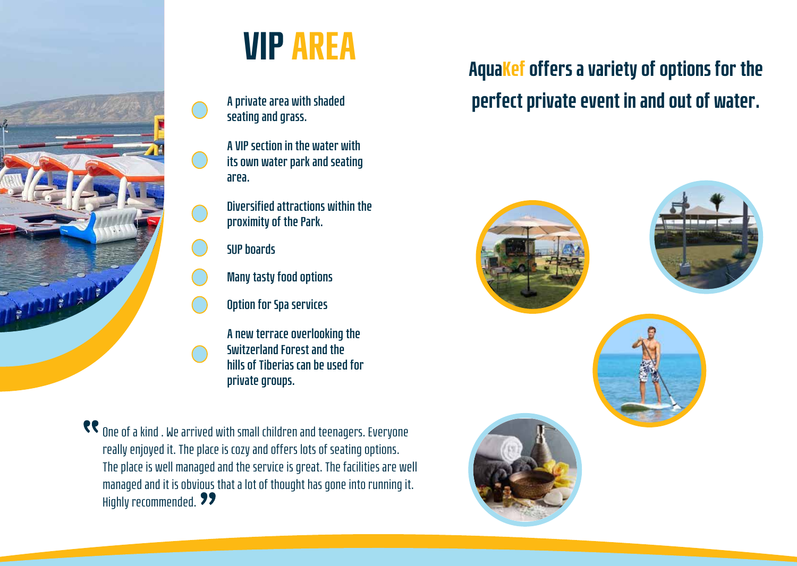

## VIP AREA

**A private area with shaded seating and grass.**

**A VIP section in the water with its own water park and seating area.** 

**Diversified attractions within the proximity of the Park.**

**SUP boards**

- **Many tasty food options**
- **Option for Spa services**

**A new terrace overlooking the Switzerland Forest and the hills of Tiberias can be used for private groups.** 

**CC** One of a kind . We arrived with small children and teenagers. Everyone really enjoyed it. The place is cozy and offers lots of seating options. The place is well managed and the service is great. The facilities are well managed and it is obvious that a lot of thought has gone into running it. Highly recommended. **99** 

## AquaKef offers a variety of options for the perfect private event in and out of water.

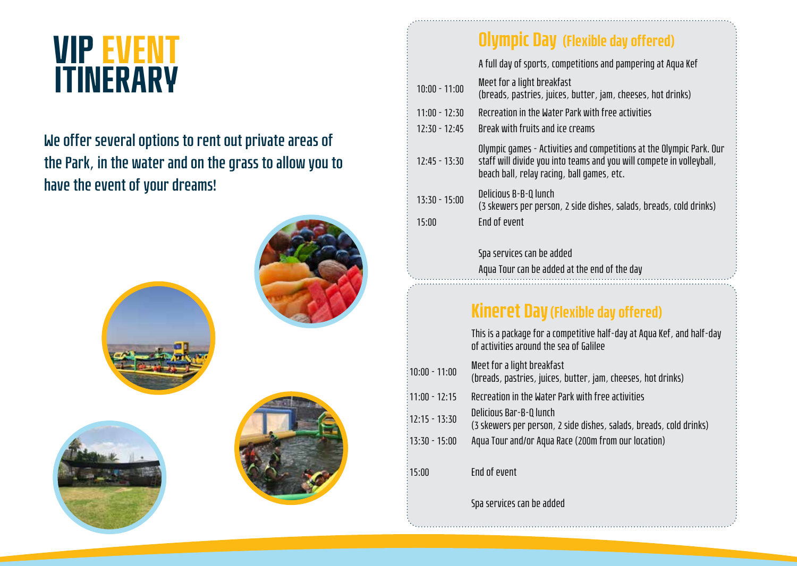## VIP EVENT ITINERARY

### **We offer several options to rent out private areas of the Park, in the water and on the grass to allow you to have the event of your dreams!**



## Olympic Day (Flexible day offered)

|                 | A full day of sports, competitions and pampering at Aqua Kef                                                                                                                               |
|-----------------|--------------------------------------------------------------------------------------------------------------------------------------------------------------------------------------------|
| $10:00 - 11:00$ | Meet for a light breakfast<br>(breads, pastries, juices, butter, jam, cheeses, hot drinks)                                                                                                 |
| $11:00 - 12:30$ | Recreation in the Water Park with free activities                                                                                                                                          |
| $12:30 - 12:45$ | Break with fruits and ice creams                                                                                                                                                           |
| $12:45 - 13:30$ | Olympic games - Activities and competitions at the Olympic Park. Our<br>staff will divide you into teams and you will compete in volleyball,<br>beach ball, relay racing, ball games, etc. |
| $13:30 - 15:00$ | Delicious B-B-Q lunch                                                                                                                                                                      |
| 15:00           | (3 skewers per person, 2 side dishes, salads, breads, cold drinks)<br>End of event                                                                                                         |
|                 |                                                                                                                                                                                            |
|                 | Spa services can be added                                                                                                                                                                  |
|                 | Aqua Tour can be added at the end of the day                                                                                                                                               |
|                 |                                                                                                                                                                                            |
|                 | <b>Kineret Day (Flexible day offered)</b>                                                                                                                                                  |
|                 | This is a package for a competitive half-day at Aqua Kef, and half-day<br>of activities around the sea of Galilee                                                                          |
| $10:00 - 11:00$ | Meet for a light breakfast<br>(breads, pastries, juices, butter, jam, cheeses, hot drinks)                                                                                                 |
| $11:00 - 12:15$ | Recreation in the Water Park with free activities                                                                                                                                          |
| $12:15 - 13:30$ | Delicious Bar-B-Q lunch<br>(3 skewers per person, 2 side dishes, salads, breads, cold drinks)                                                                                              |
| $13:30 - 15:00$ | Aqua Tour and/or Aqua Race (200m from our location)                                                                                                                                        |
| 15:00           | End of event                                                                                                                                                                               |
|                 | Spa services can be added                                                                                                                                                                  |
|                 |                                                                                                                                                                                            |